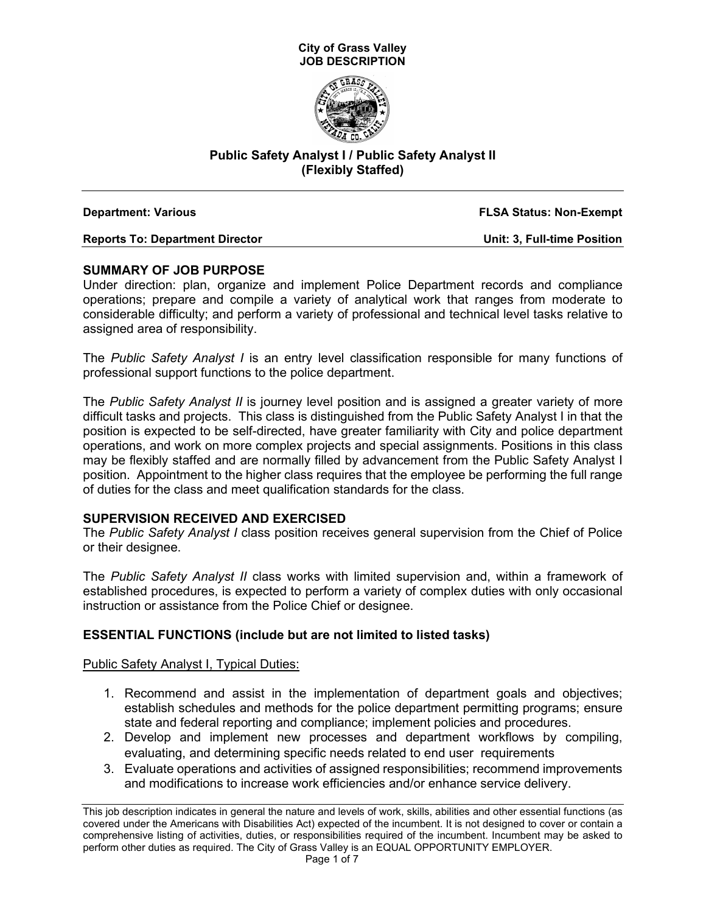



## **Public Safety Analyst I / Public Safety Analyst II (Flexibly Staffed)**

| <b>Department: Various</b>             | <b>FLSA Status: Non-Exempt</b>     |
|----------------------------------------|------------------------------------|
| <b>Reports To: Department Director</b> | <b>Unit: 3, Full-time Position</b> |

## **SUMMARY OF JOB PURPOSE**

Under direction: plan, organize and implement Police Department records and compliance operations; prepare and compile a variety of analytical work that ranges from moderate to considerable difficulty; and perform a variety of professional and technical level tasks relative to assigned area of responsibility.

The *Public Safety Analyst I* is an entry level classification responsible for many functions of professional support functions to the police department.

The *Public Safety Analyst II* is journey level position and is assigned a greater variety of more difficult tasks and projects. This class is distinguished from the Public Safety Analyst I in that the position is expected to be self-directed, have greater familiarity with City and police department operations, and work on more complex projects and special assignments. Positions in this class may be flexibly staffed and are normally filled by advancement from the Public Safety Analyst I position. Appointment to the higher class requires that the employee be performing the full range of duties for the class and meet qualification standards for the class.

#### **SUPERVISION RECEIVED AND EXERCISED**

The *Public Safety Analyst I* class position receives general supervision from the Chief of Police or their designee.

The *Public Safety Analyst II* class works with limited supervision and, within a framework of established procedures, is expected to perform a variety of complex duties with only occasional instruction or assistance from the Police Chief or designee.

## **ESSENTIAL FUNCTIONS (include but are not limited to listed tasks)**

#### Public Safety Analyst I, Typical Duties:

- 1. Recommend and assist in the implementation of department goals and objectives; establish schedules and methods for the police department permitting programs; ensure state and federal reporting and compliance; implement policies and procedures.
- 2. Develop and implement new processes and department workflows by compiling, evaluating, and determining specific needs related to end user requirements
- 3. Evaluate operations and activities of assigned responsibilities; recommend improvements and modifications to increase work efficiencies and/or enhance service delivery.

This job description indicates in general the nature and levels of work, skills, abilities and other essential functions (as covered under the Americans with Disabilities Act) expected of the incumbent. It is not designed to cover or contain a comprehensive listing of activities, duties, or responsibilities required of the incumbent. Incumbent may be asked to perform other duties as required. The City of Grass Valley is an EQUAL OPPORTUNITY EMPLOYER.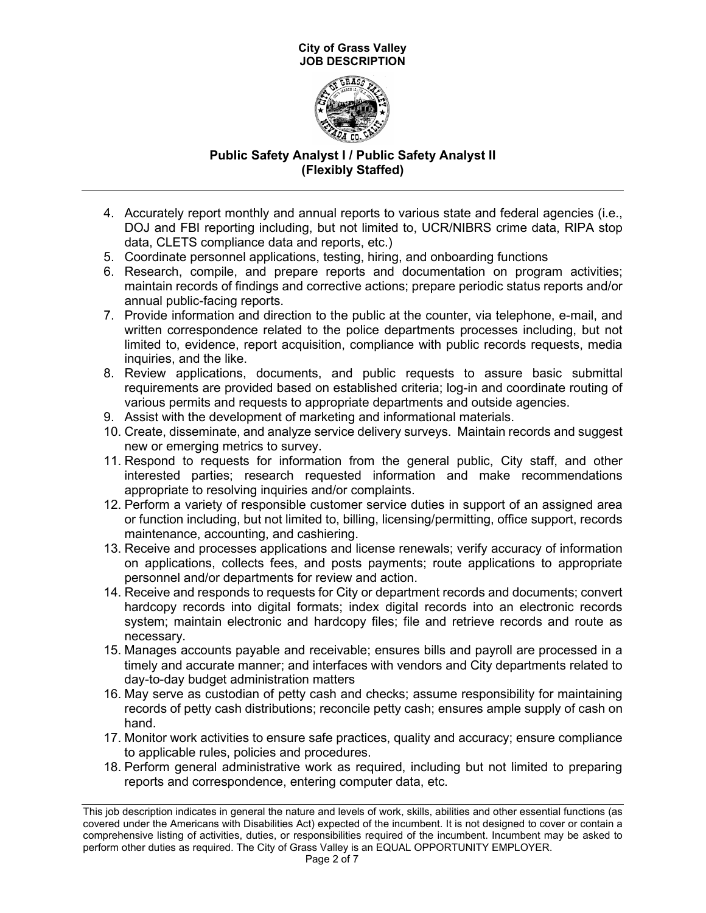

# **Public Safety Analyst I / Public Safety Analyst II (Flexibly Staffed)**

- 4. Accurately report monthly and annual reports to various state and federal agencies (i.e., DOJ and FBI reporting including, but not limited to, UCR/NIBRS crime data, RIPA stop data, CLETS compliance data and reports, etc.)
- 5. Coordinate personnel applications, testing, hiring, and onboarding functions
- 6. Research, compile, and prepare reports and documentation on program activities; maintain records of findings and corrective actions; prepare periodic status reports and/or annual public-facing reports.
- 7. Provide information and direction to the public at the counter, via telephone, e-mail, and written correspondence related to the police departments processes including, but not limited to, evidence, report acquisition, compliance with public records requests, media inquiries, and the like.
- 8. Review applications, documents, and public requests to assure basic submittal requirements are provided based on established criteria; log-in and coordinate routing of various permits and requests to appropriate departments and outside agencies.
- 9. Assist with the development of marketing and informational materials.
- 10. Create, disseminate, and analyze service delivery surveys. Maintain records and suggest new or emerging metrics to survey.
- 11. Respond to requests for information from the general public, City staff, and other interested parties; research requested information and make recommendations appropriate to resolving inquiries and/or complaints.
- 12. Perform a variety of responsible customer service duties in support of an assigned area or function including, but not limited to, billing, licensing/permitting, office support, records maintenance, accounting, and cashiering.
- 13. Receive and processes applications and license renewals; verify accuracy of information on applications, collects fees, and posts payments; route applications to appropriate personnel and/or departments for review and action.
- 14. Receive and responds to requests for City or department records and documents; convert hardcopy records into digital formats; index digital records into an electronic records system; maintain electronic and hardcopy files; file and retrieve records and route as necessary.
- 15. Manages accounts payable and receivable; ensures bills and payroll are processed in a timely and accurate manner; and interfaces with vendors and City departments related to day-to-day budget administration matters
- 16. May serve as custodian of petty cash and checks; assume responsibility for maintaining records of petty cash distributions; reconcile petty cash; ensures ample supply of cash on hand.
- 17. Monitor work activities to ensure safe practices, quality and accuracy; ensure compliance to applicable rules, policies and procedures.
- 18. Perform general administrative work as required, including but not limited to preparing reports and correspondence, entering computer data, etc.

This job description indicates in general the nature and levels of work, skills, abilities and other essential functions (as covered under the Americans with Disabilities Act) expected of the incumbent. It is not designed to cover or contain a comprehensive listing of activities, duties, or responsibilities required of the incumbent. Incumbent may be asked to perform other duties as required. The City of Grass Valley is an EQUAL OPPORTUNITY EMPLOYER.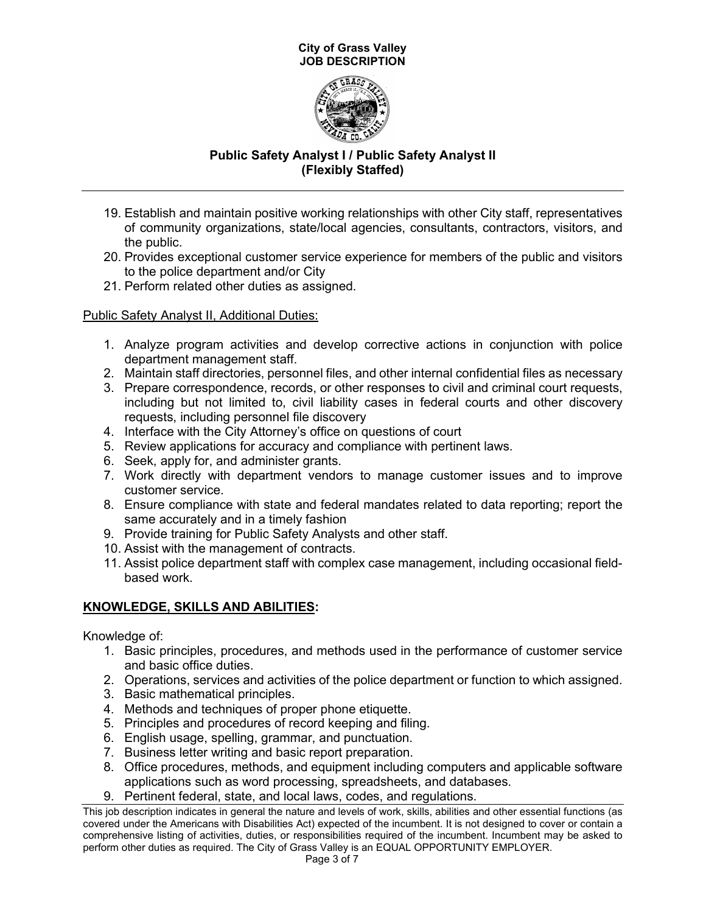

# **Public Safety Analyst I / Public Safety Analyst II (Flexibly Staffed)**

- 19. Establish and maintain positive working relationships with other City staff, representatives of community organizations, state/local agencies, consultants, contractors, visitors, and the public.
- 20. Provides exceptional customer service experience for members of the public and visitors to the police department and/or City
- 21. Perform related other duties as assigned.

## Public Safety Analyst II, Additional Duties:

- 1. Analyze program activities and develop corrective actions in conjunction with police department management staff.
- 2. Maintain staff directories, personnel files, and other internal confidential files as necessary
- 3. Prepare correspondence, records, or other responses to civil and criminal court requests, including but not limited to, civil liability cases in federal courts and other discovery requests, including personnel file discovery
- 4. Interface with the City Attorney's office on questions of court
- 5. Review applications for accuracy and compliance with pertinent laws.
- 6. Seek, apply for, and administer grants.
- 7. Work directly with department vendors to manage customer issues and to improve customer service.
- 8. Ensure compliance with state and federal mandates related to data reporting; report the same accurately and in a timely fashion
- 9. Provide training for Public Safety Analysts and other staff.
- 10. Assist with the management of contracts.
- 11. Assist police department staff with complex case management, including occasional fieldbased work.

## **KNOWLEDGE, SKILLS AND ABILITIES:**

Knowledge of:

- 1. Basic principles, procedures, and methods used in the performance of customer service and basic office duties.
- 2. Operations, services and activities of the police department or function to which assigned.
- 3. Basic mathematical principles.
- 4. Methods and techniques of proper phone etiquette.
- 5. Principles and procedures of record keeping and filing.
- 6. English usage, spelling, grammar, and punctuation.
- 7. Business letter writing and basic report preparation.
- 8. Office procedures, methods, and equipment including computers and applicable software applications such as word processing, spreadsheets, and databases.
- 9. Pertinent federal, state, and local laws, codes, and regulations.

This job description indicates in general the nature and levels of work, skills, abilities and other essential functions (as covered under the Americans with Disabilities Act) expected of the incumbent. It is not designed to cover or contain a comprehensive listing of activities, duties, or responsibilities required of the incumbent. Incumbent may be asked to perform other duties as required. The City of Grass Valley is an EQUAL OPPORTUNITY EMPLOYER.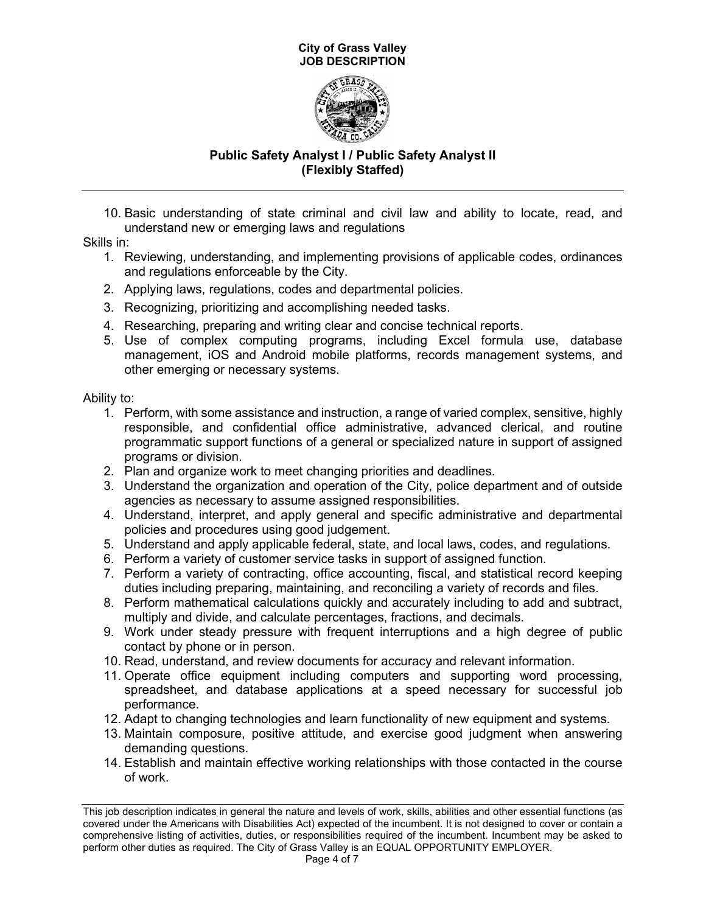

# **Public Safety Analyst I / Public Safety Analyst II (Flexibly Staffed)**

10. Basic understanding of state criminal and civil law and ability to locate, read, and understand new or emerging laws and regulations

Skills in:

- 1. Reviewing, understanding, and implementing provisions of applicable codes, ordinances and regulations enforceable by the City.
- 2. Applying laws, regulations, codes and departmental policies.
- 3. Recognizing, prioritizing and accomplishing needed tasks.
- 4. Researching, preparing and writing clear and concise technical reports.
- 5. Use of complex computing programs, including Excel formula use, database management, iOS and Android mobile platforms, records management systems, and other emerging or necessary systems.

Ability to:

- 1. Perform, with some assistance and instruction, a range of varied complex, sensitive, highly responsible, and confidential office administrative, advanced clerical, and routine programmatic support functions of a general or specialized nature in support of assigned programs or division.
- 2. Plan and organize work to meet changing priorities and deadlines.
- 3. Understand the organization and operation of the City, police department and of outside agencies as necessary to assume assigned responsibilities.
- 4. Understand, interpret, and apply general and specific administrative and departmental policies and procedures using good judgement.
- 5. Understand and apply applicable federal, state, and local laws, codes, and regulations.
- 6. Perform a variety of customer service tasks in support of assigned function.
- 7. Perform a variety of contracting, office accounting, fiscal, and statistical record keeping duties including preparing, maintaining, and reconciling a variety of records and files.
- 8. Perform mathematical calculations quickly and accurately including to add and subtract, multiply and divide, and calculate percentages, fractions, and decimals.
- 9. Work under steady pressure with frequent interruptions and a high degree of public contact by phone or in person.
- 10. Read, understand, and review documents for accuracy and relevant information.
- 11. Operate office equipment including computers and supporting word processing, spreadsheet, and database applications at a speed necessary for successful job performance.
- 12. Adapt to changing technologies and learn functionality of new equipment and systems.
- 13. Maintain composure, positive attitude, and exercise good judgment when answering demanding questions.
- 14. Establish and maintain effective working relationships with those contacted in the course of work.

This job description indicates in general the nature and levels of work, skills, abilities and other essential functions (as covered under the Americans with Disabilities Act) expected of the incumbent. It is not designed to cover or contain a comprehensive listing of activities, duties, or responsibilities required of the incumbent. Incumbent may be asked to perform other duties as required. The City of Grass Valley is an EQUAL OPPORTUNITY EMPLOYER.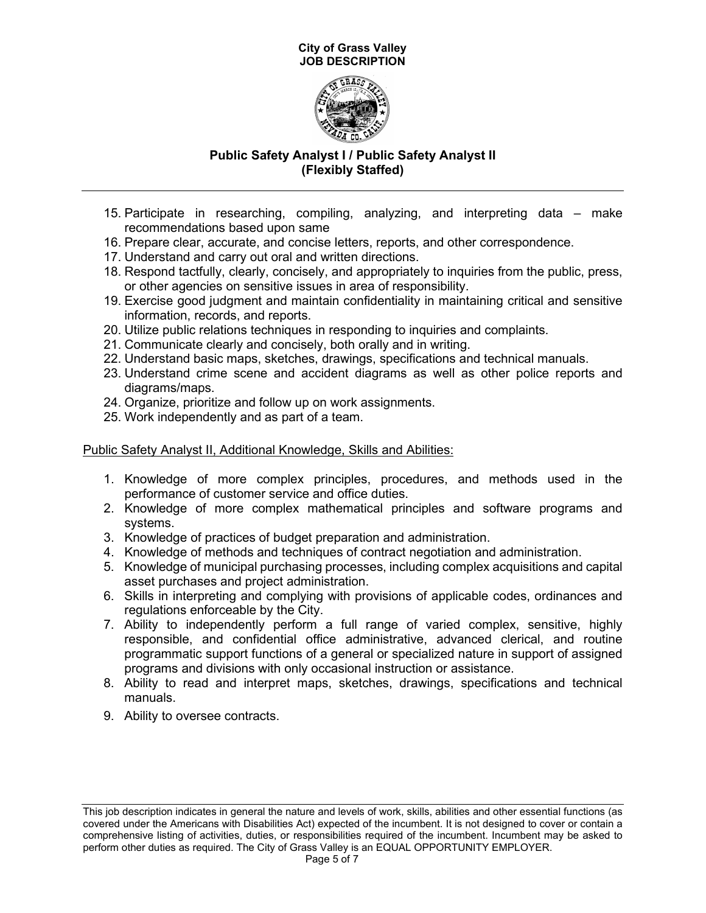

# **Public Safety Analyst I / Public Safety Analyst II (Flexibly Staffed)**

- 15. Participate in researching, compiling, analyzing, and interpreting data make recommendations based upon same
- 16. Prepare clear, accurate, and concise letters, reports, and other correspondence.
- 17. Understand and carry out oral and written directions.
- 18. Respond tactfully, clearly, concisely, and appropriately to inquiries from the public, press, or other agencies on sensitive issues in area of responsibility.
- 19. Exercise good judgment and maintain confidentiality in maintaining critical and sensitive information, records, and reports.
- 20. Utilize public relations techniques in responding to inquiries and complaints.
- 21. Communicate clearly and concisely, both orally and in writing.
- 22. Understand basic maps, sketches, drawings, specifications and technical manuals.
- 23. Understand crime scene and accident diagrams as well as other police reports and diagrams/maps.
- 24. Organize, prioritize and follow up on work assignments.
- 25. Work independently and as part of a team.

## Public Safety Analyst II, Additional Knowledge, Skills and Abilities:

- 1. Knowledge of more complex principles, procedures, and methods used in the performance of customer service and office duties.
- 2. Knowledge of more complex mathematical principles and software programs and systems.
- 3. Knowledge of practices of budget preparation and administration.
- 4. Knowledge of methods and techniques of contract negotiation and administration.
- 5. Knowledge of municipal purchasing processes, including complex acquisitions and capital asset purchases and project administration.
- 6. Skills in interpreting and complying with provisions of applicable codes, ordinances and regulations enforceable by the City.
- 7. Ability to independently perform a full range of varied complex, sensitive, highly responsible, and confidential office administrative, advanced clerical, and routine programmatic support functions of a general or specialized nature in support of assigned programs and divisions with only occasional instruction or assistance.
- 8. Ability to read and interpret maps, sketches, drawings, specifications and technical manuals.
- 9. Ability to oversee contracts.

This job description indicates in general the nature and levels of work, skills, abilities and other essential functions (as covered under the Americans with Disabilities Act) expected of the incumbent. It is not designed to cover or contain a comprehensive listing of activities, duties, or responsibilities required of the incumbent. Incumbent may be asked to perform other duties as required. The City of Grass Valley is an EQUAL OPPORTUNITY EMPLOYER.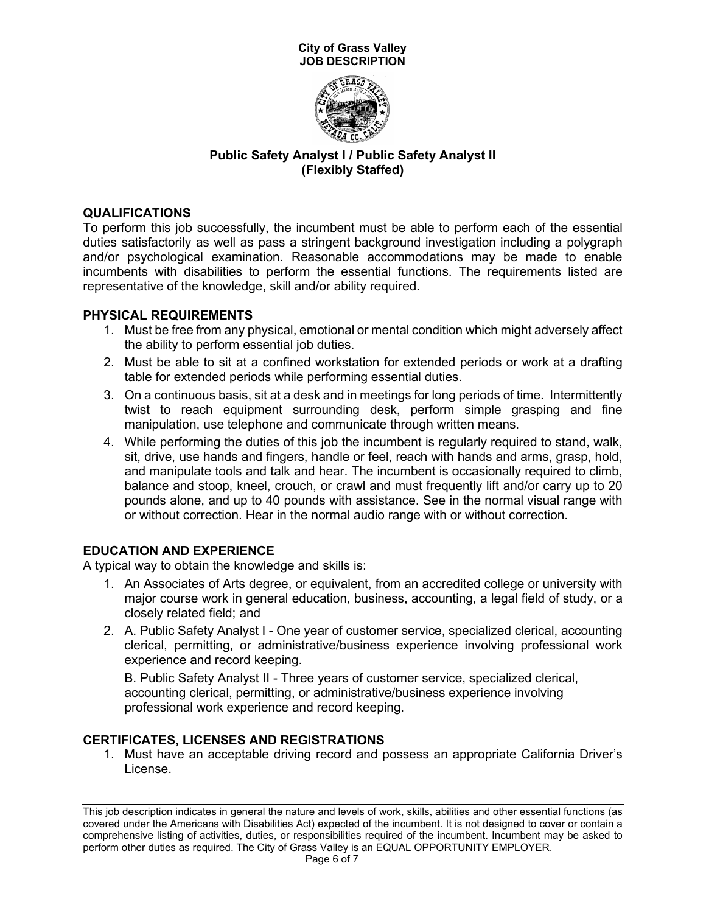

# **Public Safety Analyst I / Public Safety Analyst II (Flexibly Staffed)**

## **QUALIFICATIONS**

To perform this job successfully, the incumbent must be able to perform each of the essential duties satisfactorily as well as pass a stringent background investigation including a polygraph and/or psychological examination. Reasonable accommodations may be made to enable incumbents with disabilities to perform the essential functions. The requirements listed are representative of the knowledge, skill and/or ability required.

## **PHYSICAL REQUIREMENTS**

- 1. Must be free from any physical, emotional or mental condition which might adversely affect the ability to perform essential job duties.
- 2. Must be able to sit at a confined workstation for extended periods or work at a drafting table for extended periods while performing essential duties.
- 3. On a continuous basis, sit at a desk and in meetings for long periods of time. Intermittently twist to reach equipment surrounding desk, perform simple grasping and fine manipulation, use telephone and communicate through written means.
- 4. While performing the duties of this job the incumbent is regularly required to stand, walk, sit, drive, use hands and fingers, handle or feel, reach with hands and arms, grasp, hold, and manipulate tools and talk and hear. The incumbent is occasionally required to climb, balance and stoop, kneel, crouch, or crawl and must frequently lift and/or carry up to 20 pounds alone, and up to 40 pounds with assistance. See in the normal visual range with or without correction. Hear in the normal audio range with or without correction.

# **EDUCATION AND EXPERIENCE**

A typical way to obtain the knowledge and skills is:

- 1. An Associates of Arts degree, or equivalent, from an accredited college or university with major course work in general education, business, accounting, a legal field of study, or a closely related field; and
- 2. A. Public Safety Analyst I One year of customer service, specialized clerical, accounting clerical, permitting, or administrative/business experience involving professional work experience and record keeping.

B. Public Safety Analyst II - Three years of customer service, specialized clerical, accounting clerical, permitting, or administrative/business experience involving professional work experience and record keeping.

## **CERTIFICATES, LICENSES AND REGISTRATIONS**

1. Must have an acceptable driving record and possess an appropriate California Driver's License.

This job description indicates in general the nature and levels of work, skills, abilities and other essential functions (as covered under the Americans with Disabilities Act) expected of the incumbent. It is not designed to cover or contain a comprehensive listing of activities, duties, or responsibilities required of the incumbent. Incumbent may be asked to perform other duties as required. The City of Grass Valley is an EQUAL OPPORTUNITY EMPLOYER.